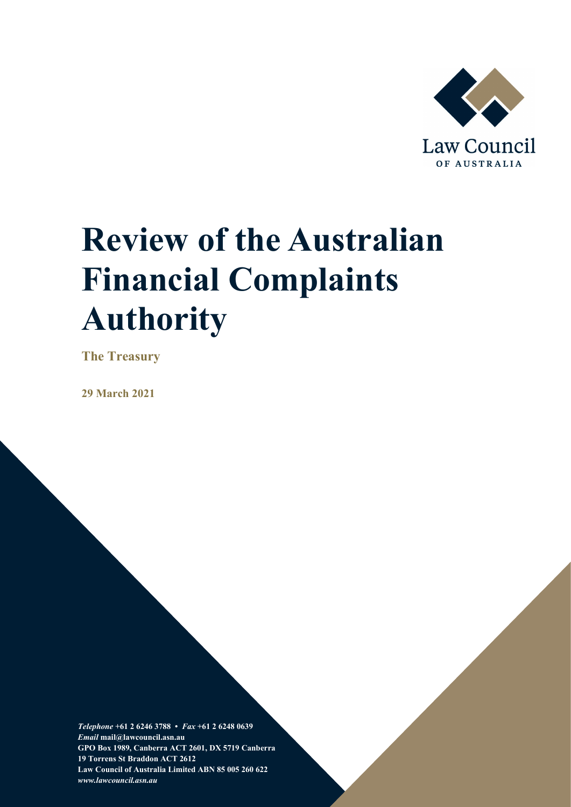

# **Review of the Australian Financial Complaints Authority**

**The Treasury**

**29 March 2021**

*Telephone* **+61 2 6246 3788 •** *Fax* **+61 2 6248 0639**  *Email* **mail@lawcouncil.asn.au GPO Box 1989, Canberra ACT 2601, DX 5719 Canberra 19 Torrens St Braddon ACT 2612 Law Council of Australia Limited ABN 85 005 260 622** *www.lawcouncil.asn.au*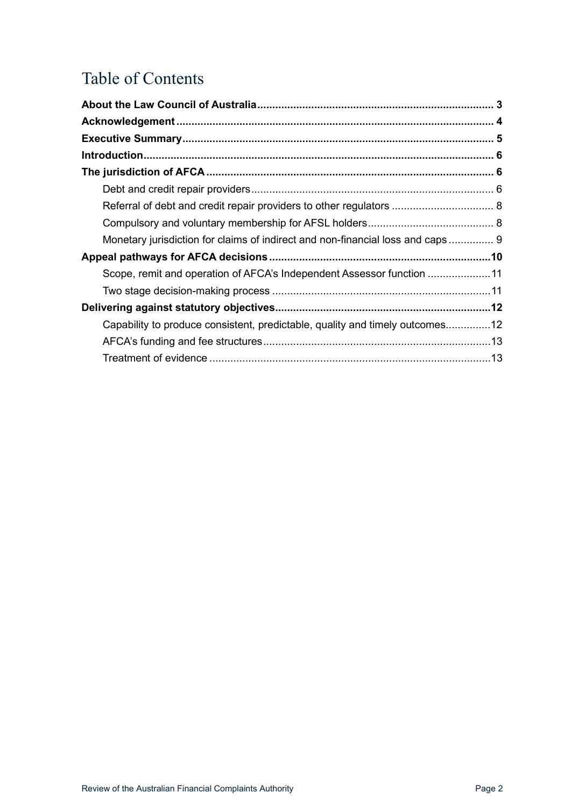# Table of Contents

| Monetary jurisdiction for claims of indirect and non-financial loss and caps 9 |  |
|--------------------------------------------------------------------------------|--|
|                                                                                |  |
| Scope, remit and operation of AFCA's Independent Assessor function 11          |  |
|                                                                                |  |
|                                                                                |  |
| Capability to produce consistent, predictable, quality and timely outcomes12   |  |
|                                                                                |  |
|                                                                                |  |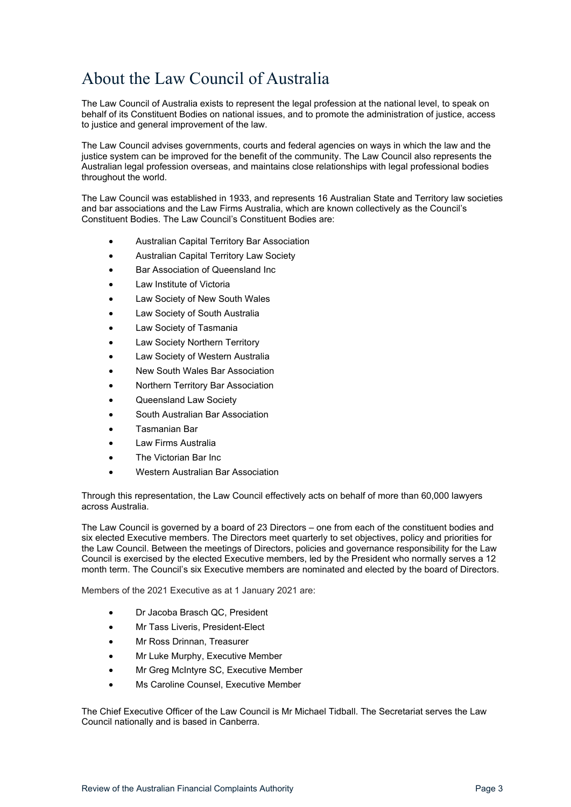### <span id="page-2-0"></span>About the Law Council of Australia

The Law Council of Australia exists to represent the legal profession at the national level, to speak on behalf of its Constituent Bodies on national issues, and to promote the administration of justice, access to justice and general improvement of the law.

The Law Council advises governments, courts and federal agencies on ways in which the law and the justice system can be improved for the benefit of the community. The Law Council also represents the Australian legal profession overseas, and maintains close relationships with legal professional bodies throughout the world.

The Law Council was established in 1933, and represents 16 Australian State and Territory law societies and bar associations and the Law Firms Australia, which are known collectively as the Council's Constituent Bodies. The Law Council's Constituent Bodies are:

- Australian Capital Territory Bar Association
- Australian Capital Territory Law Society
- Bar Association of Queensland Inc
- Law Institute of Victoria
- Law Society of New South Wales
- Law Society of South Australia
- Law Society of Tasmania
- Law Society Northern Territory
- Law Society of Western Australia
- New South Wales Bar Association
- Northern Territory Bar Association
- Queensland Law Society
- South Australian Bar Association
- Tasmanian Bar
- Law Firms Australia
- The Victorian Bar Inc
- Western Australian Bar Association

Through this representation, the Law Council effectively acts on behalf of more than 60,000 lawyers across Australia.

The Law Council is governed by a board of 23 Directors – one from each of the constituent bodies and six elected Executive members. The Directors meet quarterly to set objectives, policy and priorities for the Law Council. Between the meetings of Directors, policies and governance responsibility for the Law Council is exercised by the elected Executive members, led by the President who normally serves a 12 month term. The Council's six Executive members are nominated and elected by the board of Directors.

Members of the 2021 Executive as at 1 January 2021 are:

- Dr Jacoba Brasch QC, President
- Mr Tass Liveris, President-Elect
- Mr Ross Drinnan, Treasurer
- Mr Luke Murphy, Executive Member
- Mr Greg McIntyre SC, Executive Member
- Ms Caroline Counsel, Executive Member

The Chief Executive Officer of the Law Council is Mr Michael Tidball. The Secretariat serves the Law Council nationally and is based in Canberra.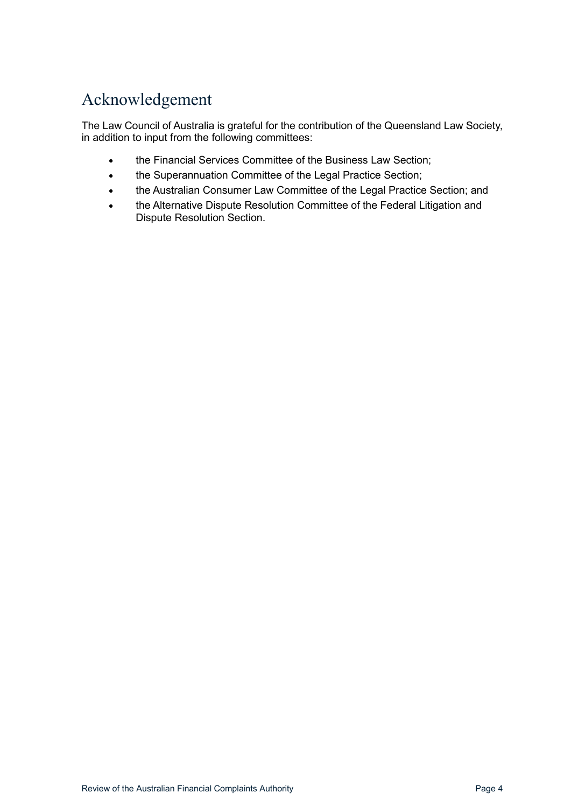# <span id="page-3-0"></span>Acknowledgement

The Law Council of Australia is grateful for the contribution of the Queensland Law Society, in addition to input from the following committees:

- the Financial Services Committee of the Business Law Section;
- the Superannuation Committee of the Legal Practice Section;
- the Australian Consumer Law Committee of the Legal Practice Section; and
- the Alternative Dispute Resolution Committee of the Federal Litigation and Dispute Resolution Section.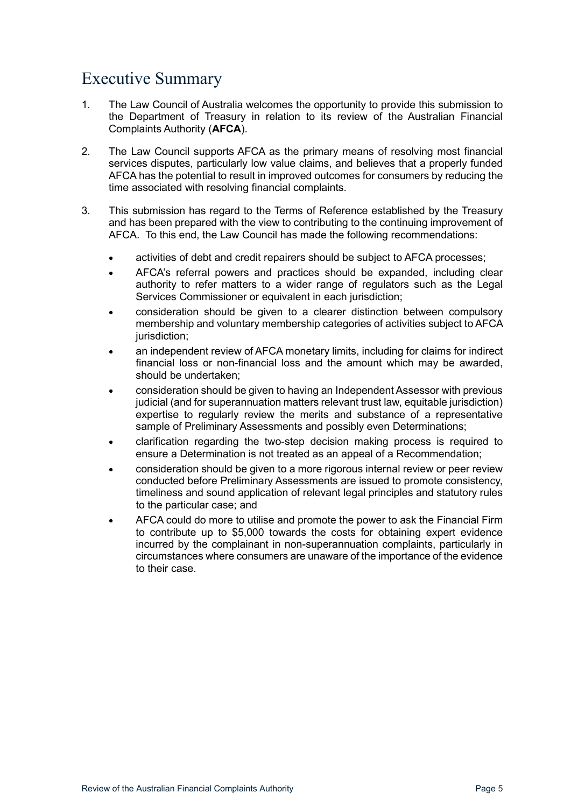### <span id="page-4-0"></span>Executive Summary

- 1. The Law Council of Australia welcomes the opportunity to provide this submission to the Department of Treasury in relation to its review of the Australian Financial Complaints Authority (**AFCA**).
- 2. The Law Council supports AFCA as the primary means of resolving most financial services disputes, particularly low value claims, and believes that a properly funded AFCA has the potential to result in improved outcomes for consumers by reducing the time associated with resolving financial complaints.
- 3. This submission has regard to the Terms of Reference established by the Treasury and has been prepared with the view to contributing to the continuing improvement of AFCA. To this end, the Law Council has made the following recommendations:
	- activities of debt and credit repairers should be subject to AFCA processes;
	- AFCA's referral powers and practices should be expanded, including clear authority to refer matters to a wider range of regulators such as the Legal Services Commissioner or equivalent in each jurisdiction;
	- consideration should be given to a clearer distinction between compulsory membership and voluntary membership categories of activities subject to AFCA jurisdiction;
	- an independent review of AFCA monetary limits, including for claims for indirect financial loss or non-financial loss and the amount which may be awarded, should be undertaken;
	- consideration should be given to having an Independent Assessor with previous judicial (and for superannuation matters relevant trust law, equitable jurisdiction) expertise to regularly review the merits and substance of a representative sample of Preliminary Assessments and possibly even Determinations;
	- clarification regarding the two-step decision making process is required to ensure a Determination is not treated as an appeal of a Recommendation;
	- consideration should be given to a more rigorous internal review or peer review conducted before Preliminary Assessments are issued to promote consistency, timeliness and sound application of relevant legal principles and statutory rules to the particular case; and
	- AFCA could do more to utilise and promote the power to ask the Financial Firm to contribute up to \$5,000 towards the costs for obtaining expert evidence incurred by the complainant in non-superannuation complaints, particularly in circumstances where consumers are unaware of the importance of the evidence to their case.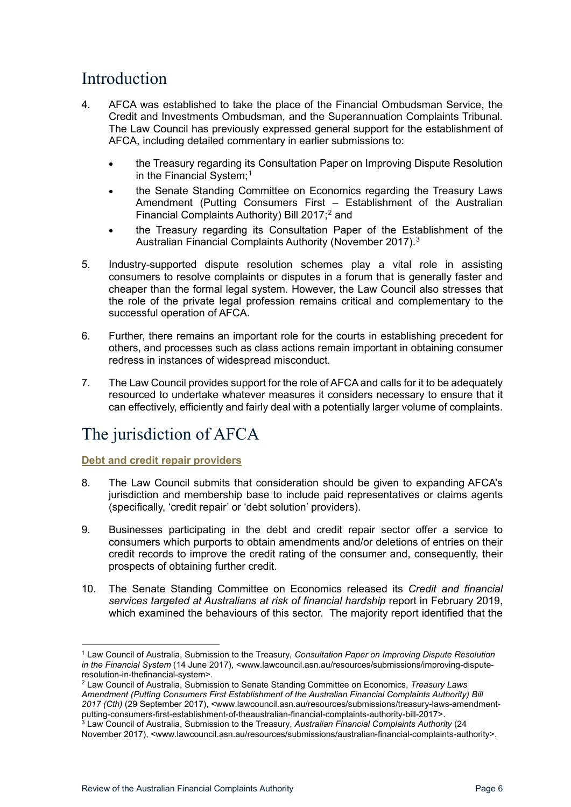### <span id="page-5-0"></span>Introduction

- 4. AFCA was established to take the place of the Financial Ombudsman Service, the Credit and Investments Ombudsman, and the Superannuation Complaints Tribunal. The Law Council has previously expressed general support for the establishment of AFCA, including detailed commentary in earlier submissions to:
	- the Treasury regarding its Consultation Paper on Improving Dispute Resolution in the Financial System;<sup>[1](#page-5-3)</sup>
	- the Senate Standing Committee on Economics regarding the Treasury Laws Amendment (Putting Consumers First – Establishment of the Australian Financial Complaints Authority) Bill [2](#page-5-4)017;<sup>2</sup> and
	- the Treasury regarding its Consultation Paper of the Establishment of the Australian Financial Complaints Authority (November 2017).[3](#page-5-5)
- 5. Industry-supported dispute resolution schemes play a vital role in assisting consumers to resolve complaints or disputes in a forum that is generally faster and cheaper than the formal legal system. However, the Law Council also stresses that the role of the private legal profession remains critical and complementary to the successful operation of AFCA.
- 6. Further, there remains an important role for the courts in establishing precedent for others, and processes such as class actions remain important in obtaining consumer redress in instances of widespread misconduct.
- 7. The Law Council provides support for the role of AFCA and calls for it to be adequately resourced to undertake whatever measures it considers necessary to ensure that it can effectively, efficiently and fairly deal with a potentially larger volume of complaints.

### <span id="page-5-1"></span>The jurisdiction of AFCA

<span id="page-5-2"></span>**Debt and credit repair providers** 

- 8. The Law Council submits that consideration should be given to expanding AFCA's jurisdiction and membership base to include paid representatives or claims agents (specifically, 'credit repair' or 'debt solution' providers).
- 9. Businesses participating in the debt and credit repair sector offer a service to consumers which purports to obtain amendments and/or deletions of entries on their credit records to improve the credit rating of the consumer and, consequently, their prospects of obtaining further credit.
- 10. The Senate Standing Committee on Economics released its *Credit and financial services targeted at Australians at risk of financial hardship* report in February 2019, which examined the behaviours of this sector. The majority report identified that the

<span id="page-5-3"></span><sup>1</sup> Law Council of Australia, Submission to the Treasury*, Consultation Paper on Improving Dispute Resolution in the Financial System* (14 June 2017), <www.lawcouncil.asn.au/resources/submissions/improving-disputeresolution-in-thefinancial-system>.

<span id="page-5-4"></span><sup>2</sup> Law Council of Australia, Submission to Senate Standing Committee on Economics, *Treasury Laws Amendment (Putting Consumers First Establishment of the Australian Financial Complaints Authority) Bill 2017 (Cth)* (29 September 2017), <www.lawcouncil.asn.au/resources/submissions/treasury-laws-amendmentputting-consumers-first-establishment-of-theaustralian-financial-complaints-authority-bill-2017>. <sup>3</sup> Law Council of Australia, Submission to the Treasury, *Australian Financial Complaints Authority* (24

<span id="page-5-5"></span>November 2017), <www.lawcouncil.asn.au/resources/submissions/australian-financial-complaints-authority>.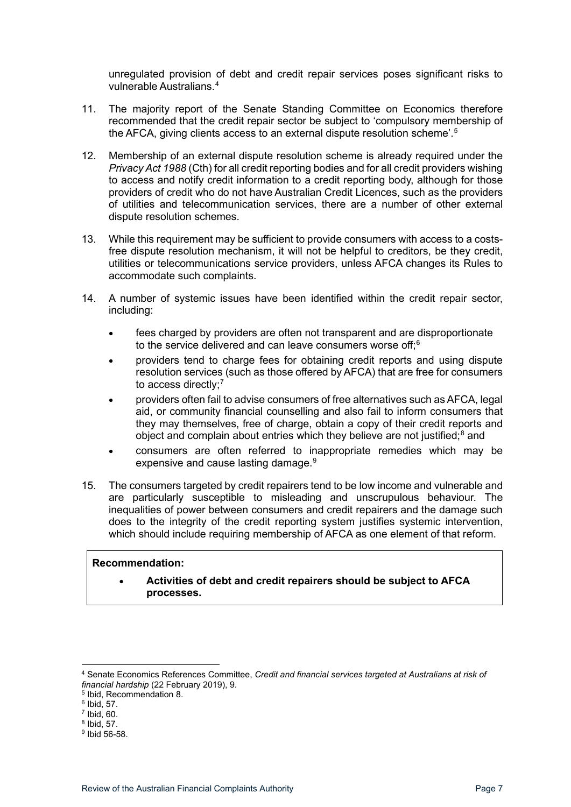unregulated provision of debt and credit repair services poses significant risks to vulnerable Australians.[4](#page-6-0)

- 11. The majority report of the Senate Standing Committee on Economics therefore recommended that the credit repair sector be subject to 'compulsory membership of the AFCA, giving clients access to an external dispute resolution scheme'. [5](#page-6-1)
- 12. Membership of an external dispute resolution scheme is already required under the *Privacy Act 1988* (Cth) for all credit reporting bodies and for all credit providers wishing to access and notify credit information to a credit reporting body, although for those providers of credit who do not have Australian Credit Licences, such as the providers of utilities and telecommunication services, there are a number of other external dispute resolution schemes.
- 13. While this requirement may be sufficient to provide consumers with access to a costsfree dispute resolution mechanism, it will not be helpful to creditors, be they credit, utilities or telecommunications service providers, unless AFCA changes its Rules to accommodate such complaints.
- 14. A number of systemic issues have been identified within the credit repair sector, including:
	- fees charged by providers are often not transparent and are disproportionate to the service delivered and can leave consumers worse off;<sup>[6](#page-6-2)</sup>
	- providers tend to charge fees for obtaining credit reports and using dispute resolution services (such as those offered by AFCA) that are free for consumers to access directly:<sup>[7](#page-6-3)</sup>
	- providers often fail to advise consumers of free alternatives such as AFCA, legal aid, or community financial counselling and also fail to inform consumers that they may themselves, free of charge, obtain a copy of their credit reports and object and complain about entries which they believe are not justified;<sup>[8](#page-6-4)</sup> and
	- consumers are often referred to inappropriate remedies which may be expensive and cause lasting damage.<sup>[9](#page-6-5)</sup>
- 15. The consumers targeted by credit repairers tend to be low income and vulnerable and are particularly susceptible to misleading and unscrupulous behaviour. The inequalities of power between consumers and credit repairers and the damage such does to the integrity of the credit reporting system justifies systemic intervention, which should include requiring membership of AFCA as one element of that reform.

#### **Recommendation:**

• **Activities of debt and credit repairers should be subject to AFCA processes.**

<span id="page-6-0"></span><sup>4</sup> Senate Economics References Committee, *Credit and financial services targeted at Australians at risk of financial hardship* (22 February 2019), 9.

<span id="page-6-1"></span><sup>5</sup> Ibid, Recommendation 8.

<span id="page-6-2"></span> $6$  Ibid, 57.

 $7$  Ibid, 60.

<span id="page-6-4"></span><span id="page-6-3"></span><sup>8</sup> Ibid, 57.

<span id="page-6-5"></span><sup>9</sup> Ibid 56-58.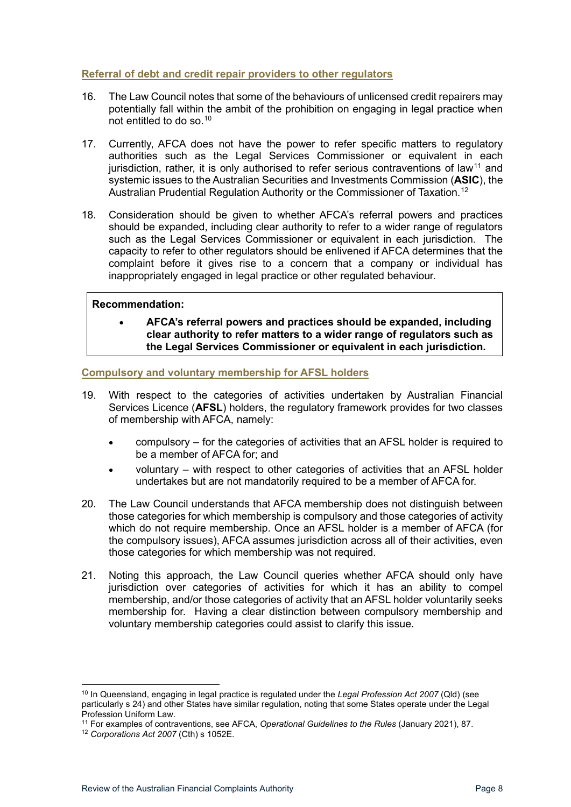#### <span id="page-7-0"></span>**Referral of debt and credit repair providers to other regulators**

- 16. The Law Council notes that some of the behaviours of unlicensed credit repairers may potentially fall within the ambit of the prohibition on engaging in legal practice when not entitled to do so.[10](#page-7-2)
- 17. Currently, AFCA does not have the power to refer specific matters to regulatory authorities such as the Legal Services Commissioner or equivalent in each jurisdiction, rather, it is only authorised to refer serious contraventions of law<sup>[11](#page-7-3)</sup> and systemic issues to the Australian Securities and Investments Commission (**ASIC**), the Australian Prudential Regulation Authority or the Commissioner of Taxation.<sup>[12](#page-7-4)</sup>
- 18. Consideration should be given to whether AFCA's referral powers and practices should be expanded, including clear authority to refer to a wider range of regulators such as the Legal Services Commissioner or equivalent in each jurisdiction. The capacity to refer to other regulators should be enlivened if AFCA determines that the complaint before it gives rise to a concern that a company or individual has inappropriately engaged in legal practice or other regulated behaviour.

#### **Recommendation:**

• **AFCA's referral powers and practices should be expanded, including clear authority to refer matters to a wider range of regulators such as the Legal Services Commissioner or equivalent in each jurisdiction.** 

#### <span id="page-7-1"></span>**Compulsory and voluntary membership for AFSL holders**

- 19. With respect to the categories of activities undertaken by Australian Financial Services Licence (**AFSL**) holders, the regulatory framework provides for two classes of membership with AFCA, namely:
	- compulsory for the categories of activities that an AFSL holder is required to be a member of AFCA for; and
	- voluntary with respect to other categories of activities that an AFSL holder undertakes but are not mandatorily required to be a member of AFCA for.
- 20. The Law Council understands that AFCA membership does not distinguish between those categories for which membership is compulsory and those categories of activity which do not require membership. Once an AFSL holder is a member of AFCA (for the compulsory issues), AFCA assumes jurisdiction across all of their activities, even those categories for which membership was not required.
- 21. Noting this approach, the Law Council queries whether AFCA should only have jurisdiction over categories of activities for which it has an ability to compel membership, and/or those categories of activity that an AFSL holder voluntarily seeks membership for. Having a clear distinction between compulsory membership and voluntary membership categories could assist to clarify this issue.

<span id="page-7-2"></span><sup>10</sup> In Queensland, engaging in legal practice is regulated under the *Legal Profession Act 2007* (Qld) (see particularly s 24) and other States have similar regulation, noting that some States operate under the Legal Profession Uniform Law.

<span id="page-7-3"></span><sup>&</sup>lt;sup>11</sup> For examples of contraventions, see AFCA, *Operational Guidelines to the Rules* (January 2021), 87.<br><sup>12</sup> *Corporations Act 2007* (Cth) s 1052E.

<span id="page-7-4"></span>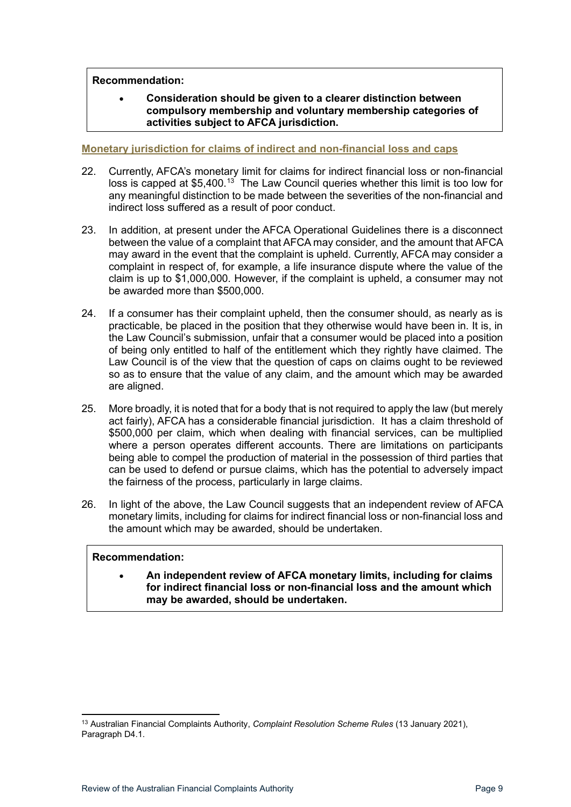#### **Recommendation:**

#### • **Consideration should be given to a clearer distinction between compulsory membership and voluntary membership categories of activities subject to AFCA jurisdiction.**

#### <span id="page-8-0"></span>**Monetary jurisdiction for claims of indirect and non-financial loss and caps**

- 22. Currently, AFCA's monetary limit for claims for indirect financial loss or non-financial loss is capped at \$5,400.<sup>[13](#page-8-1)</sup> The Law Council queries whether this limit is too low for any meaningful distinction to be made between the severities of the non-financial and indirect loss suffered as a result of poor conduct.
- 23. In addition, at present under the AFCA Operational Guidelines there is a disconnect between the value of a complaint that AFCA may consider, and the amount that AFCA may award in the event that the complaint is upheld. Currently, AFCA may consider a complaint in respect of, for example, a life insurance dispute where the value of the claim is up to \$1,000,000. However, if the complaint is upheld, a consumer may not be awarded more than \$500,000.
- 24. If a consumer has their complaint upheld, then the consumer should, as nearly as is practicable, be placed in the position that they otherwise would have been in. It is, in the Law Council's submission, unfair that a consumer would be placed into a position of being only entitled to half of the entitlement which they rightly have claimed. The Law Council is of the view that the question of caps on claims ought to be reviewed so as to ensure that the value of any claim, and the amount which may be awarded are aligned.
- 25. More broadly, it is noted that for a body that is not required to apply the law (but merely act fairly), AFCA has a considerable financial jurisdiction. It has a claim threshold of \$500,000 per claim, which when dealing with financial services, can be multiplied where a person operates different accounts. There are limitations on participants being able to compel the production of material in the possession of third parties that can be used to defend or pursue claims, which has the potential to adversely impact the fairness of the process, particularly in large claims.
- 26. In light of the above, the Law Council suggests that an independent review of AFCA monetary limits, including for claims for indirect financial loss or non-financial loss and the amount which may be awarded, should be undertaken.

#### **Recommendation:**

• **An independent review of AFCA monetary limits, including for claims for indirect financial loss or non-financial loss and the amount which may be awarded, should be undertaken.**

<span id="page-8-1"></span><sup>13</sup> Australian Financial Complaints Authority, *Complaint Resolution Scheme Rules* (13 January 2021), Paragraph D4.1.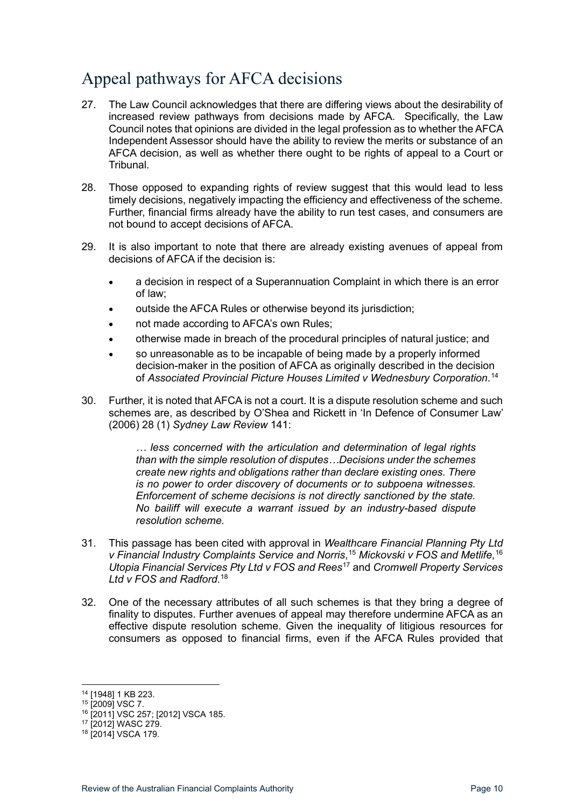## <span id="page-9-0"></span>Appeal pathways for AFCA decisions

- 27. The Law Council acknowledges that there are differing views about the desirability of increased review pathways from decisions made by AFCA. Specifically, the Law Council notes that opinions are divided in the legal profession as to whether the AFCA Independent Assessor should have the ability to review the merits or substance of an AFCA decision, as well as whether there ought to be rights of appeal to a Court or **Tribunal**
- 28. Those opposed to expanding rights of review suggest that this would lead to less timely decisions, negatively impacting the efficiency and effectiveness of the scheme. Further, financial firms already have the ability to run test cases, and consumers are not bound to accept decisions of AFCA.
- 29. It is also important to note that there are already existing avenues of appeal from decisions of AFCA if the decision is:
	- a decision in respect of a Superannuation Complaint in which there is an error of law;
	- outside the AFCA Rules or otherwise beyond its jurisdiction;
	- not made according to AFCA's own Rules;
	- otherwise made in breach of the procedural principles of natural justice; and
	- so unreasonable as to be incapable of being made by a properly informed decision-maker in the position of AFCA as originally described in the decision of *Associated Provincial Picture Houses Limited v Wednesbury Corporation*. [14](#page-9-1)
- 30. Further, it is noted that AFCA is not a court. It is a dispute resolution scheme and such schemes are, as described by O'Shea and Rickett in 'In Defence of Consumer Law' (2006) 28 (1) *Sydney Law Review* 141:

*… less concerned with the articulation and determination of legal rights than with the simple resolution of disputes…Decisions under the schemes create new rights and obligations rather than declare existing ones. There is no power to order discovery of documents or to subpoena witnesses. Enforcement of scheme decisions is not directly sanctioned by the state. No bailiff will execute a warrant issued by an industry-based dispute resolution scheme.*

- 31. This passage has been cited with approval in *Wealthcare Financial Planning Pty Ltd v Financial Industry Complaints Service and Norris*, [15](#page-9-2) *Mickovski v FOS and Metlife*, [16](#page-9-3) *Utopia Financial Services Pty Ltd v FOS and Rees*[17](#page-9-4) and *Cromwell Property Services Ltd v FOS and Radford*. [18](#page-9-5)
- 32. One of the necessary attributes of all such schemes is that they bring a degree of finality to disputes. Further avenues of appeal may therefore undermine AFCA as an effective dispute resolution scheme. Given the inequality of litigious resources for consumers as opposed to financial firms, even if the AFCA Rules provided that

<sup>14</sup> [1948] 1 KB 223.

<span id="page-9-2"></span><span id="page-9-1"></span><sup>15</sup> [2009] VSC 7.

<span id="page-9-3"></span><sup>16</sup> [2011] VSC 257; [2012] VSCA 185.

<span id="page-9-4"></span><sup>17</sup> [2012] WASC 279.

<span id="page-9-5"></span><sup>18</sup> [2014] VSCA 179.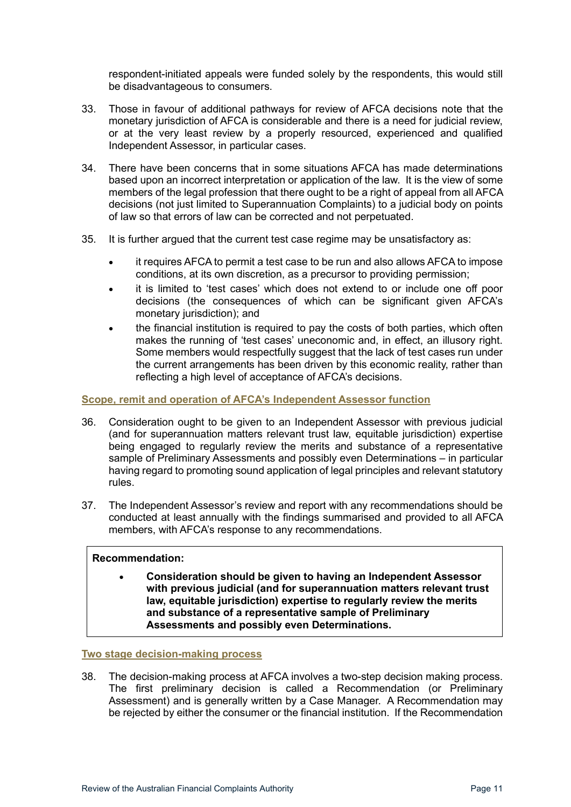respondent-initiated appeals were funded solely by the respondents, this would still be disadvantageous to consumers.

- 33. Those in favour of additional pathways for review of AFCA decisions note that the monetary jurisdiction of AFCA is considerable and there is a need for judicial review, or at the very least review by a properly resourced, experienced and qualified Independent Assessor, in particular cases.
- 34. There have been concerns that in some situations AFCA has made determinations based upon an incorrect interpretation or application of the law. It is the view of some members of the legal profession that there ought to be a right of appeal from all AFCA decisions (not just limited to Superannuation Complaints) to a judicial body on points of law so that errors of law can be corrected and not perpetuated.
- 35. It is further argued that the current test case regime may be unsatisfactory as:
	- it requires AFCA to permit a test case to be run and also allows AFCA to impose conditions, at its own discretion, as a precursor to providing permission;
	- it is limited to 'test cases' which does not extend to or include one off poor decisions (the consequences of which can be significant given AFCA's monetary jurisdiction); and
	- the financial institution is required to pay the costs of both parties, which often makes the running of 'test cases' uneconomic and, in effect, an illusory right. Some members would respectfully suggest that the lack of test cases run under the current arrangements has been driven by this economic reality, rather than reflecting a high level of acceptance of AFCA's decisions.

#### <span id="page-10-0"></span>**Scope, remit and operation of AFCA's Independent Assessor function**

- 36. Consideration ought to be given to an Independent Assessor with previous judicial (and for superannuation matters relevant trust law, equitable jurisdiction) expertise being engaged to regularly review the merits and substance of a representative sample of Preliminary Assessments and possibly even Determinations – in particular having regard to promoting sound application of legal principles and relevant statutory rules.
- 37. The Independent Assessor's review and report with any recommendations should be conducted at least annually with the findings summarised and provided to all AFCA members, with AFCA's response to any recommendations.

#### **Recommendation:**

• **Consideration should be given to having an Independent Assessor with previous judicial (and for superannuation matters relevant trust law, equitable jurisdiction) expertise to regularly review the merits and substance of a representative sample of Preliminary Assessments and possibly even Determinations.** 

#### <span id="page-10-1"></span>**Two stage decision-making process**

38. The decision-making process at AFCA involves a two-step decision making process. The first preliminary decision is called a Recommendation (or Preliminary Assessment) and is generally written by a Case Manager. A Recommendation may be rejected by either the consumer or the financial institution. If the Recommendation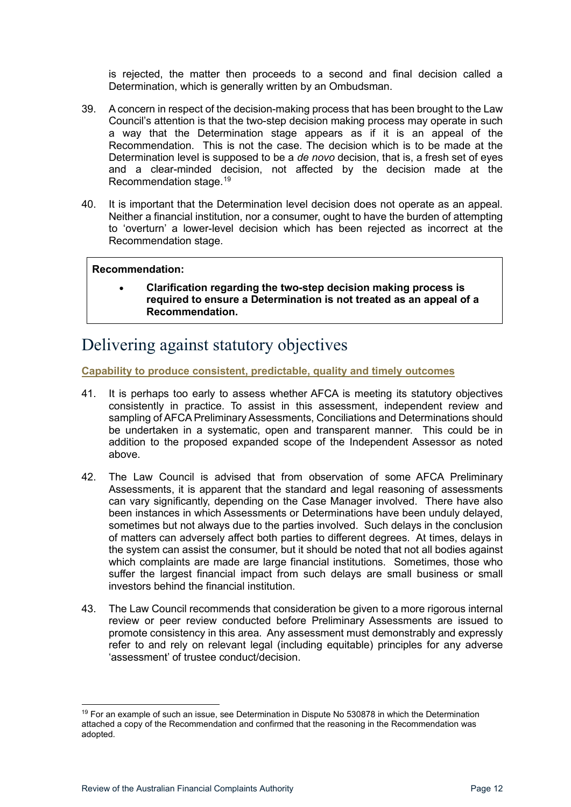is rejected, the matter then proceeds to a second and final decision called a Determination, which is generally written by an Ombudsman.

- 39. A concern in respect of the decision-making process that has been brought to the Law Council's attention is that the two-step decision making process may operate in such a way that the Determination stage appears as if it is an appeal of the Recommendation. This is not the case. The decision which is to be made at the Determination level is supposed to be a *de novo* decision, that is, a fresh set of eyes and a clear-minded decision, not affected by the decision made at the Recommendation stage.[19](#page-11-2)
- 40. It is important that the Determination level decision does not operate as an appeal. Neither a financial institution, nor a consumer, ought to have the burden of attempting to 'overturn' a lower-level decision which has been rejected as incorrect at the Recommendation stage.

#### **Recommendation:**

• **Clarification regarding the two-step decision making process is required to ensure a Determination is not treated as an appeal of a Recommendation.** 

### <span id="page-11-0"></span>Delivering against statutory objectives

<span id="page-11-1"></span>**Capability to produce consistent, predictable, quality and timely outcomes**

- 41. It is perhaps too early to assess whether AFCA is meeting its statutory objectives consistently in practice. To assist in this assessment, independent review and sampling of AFCA Preliminary Assessments, Conciliations and Determinations should be undertaken in a systematic, open and transparent manner. This could be in addition to the proposed expanded scope of the Independent Assessor as noted above.
- 42. The Law Council is advised that from observation of some AFCA Preliminary Assessments, it is apparent that the standard and legal reasoning of assessments can vary significantly, depending on the Case Manager involved. There have also been instances in which Assessments or Determinations have been unduly delayed, sometimes but not always due to the parties involved. Such delays in the conclusion of matters can adversely affect both parties to different degrees. At times, delays in the system can assist the consumer, but it should be noted that not all bodies against which complaints are made are large financial institutions. Sometimes, those who suffer the largest financial impact from such delays are small business or small investors behind the financial institution.
- 43. The Law Council recommends that consideration be given to a more rigorous internal review or peer review conducted before Preliminary Assessments are issued to promote consistency in this area. Any assessment must demonstrably and expressly refer to and rely on relevant legal (including equitable) principles for any adverse 'assessment' of trustee conduct/decision.

<span id="page-11-2"></span><sup>&</sup>lt;sup>19</sup> For an example of such an issue, see Determination in Dispute No 530878 in which the Determination attached a copy of the Recommendation and confirmed that the reasoning in the Recommendation was adopted.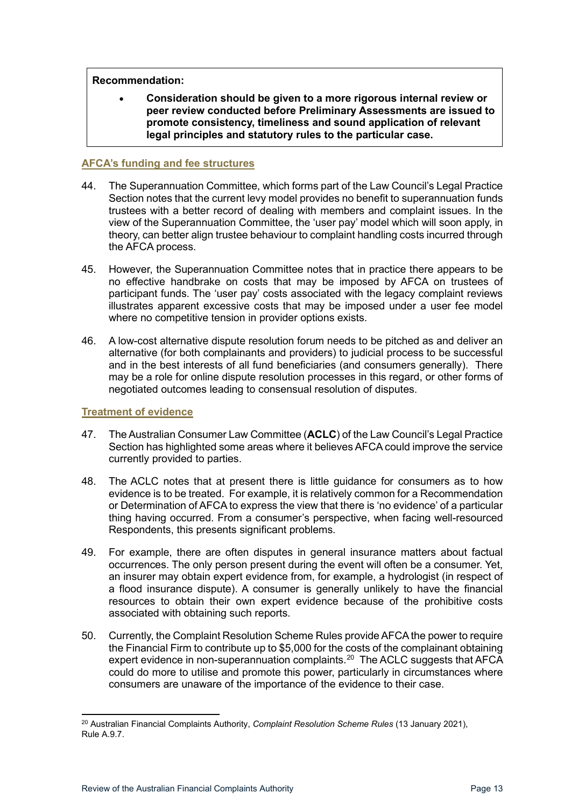#### **Recommendation:**

• **Consideration should be given to a more rigorous internal review or peer review conducted before Preliminary Assessments are issued to promote consistency, timeliness and sound application of relevant legal principles and statutory rules to the particular case.**

#### <span id="page-12-0"></span>**AFCA's funding and fee structures**

- 44. The Superannuation Committee, which forms part of the Law Council's Legal Practice Section notes that the current levy model provides no benefit to superannuation funds trustees with a better record of dealing with members and complaint issues. In the view of the Superannuation Committee, the 'user pay' model which will soon apply, in theory, can better align trustee behaviour to complaint handling costs incurred through the AFCA process.
- 45. However, the Superannuation Committee notes that in practice there appears to be no effective handbrake on costs that may be imposed by AFCA on trustees of participant funds. The 'user pay' costs associated with the legacy complaint reviews illustrates apparent excessive costs that may be imposed under a user fee model where no competitive tension in provider options exists.
- 46. A low-cost alternative dispute resolution forum needs to be pitched as and deliver an alternative (for both complainants and providers) to judicial process to be successful and in the best interests of all fund beneficiaries (and consumers generally). There may be a role for online dispute resolution processes in this regard, or other forms of negotiated outcomes leading to consensual resolution of disputes.

#### <span id="page-12-1"></span>**Treatment of evidence**

- 47. The Australian Consumer Law Committee (**ACLC**) of the Law Council's Legal Practice Section has highlighted some areas where it believes AFCA could improve the service currently provided to parties.
- 48. The ACLC notes that at present there is little guidance for consumers as to how evidence is to be treated. For example, it is relatively common for a Recommendation or Determination of AFCA to express the view that there is 'no evidence' of a particular thing having occurred. From a consumer's perspective, when facing well-resourced Respondents, this presents significant problems.
- 49. For example, there are often disputes in general insurance matters about factual occurrences. The only person present during the event will often be a consumer. Yet, an insurer may obtain expert evidence from, for example, a hydrologist (in respect of a flood insurance dispute). A consumer is generally unlikely to have the financial resources to obtain their own expert evidence because of the prohibitive costs associated with obtaining such reports.
- 50. Currently, the Complaint Resolution Scheme Rules provide AFCA the power to require the Financial Firm to contribute up to \$5,000 for the costs of the complainant obtaining expert evidence in non-superannuation complaints. [20](#page-12-2) The ACLC suggests that AFCA could do more to utilise and promote this power, particularly in circumstances where consumers are unaware of the importance of the evidence to their case.

<span id="page-12-2"></span><sup>20</sup> Australian Financial Complaints Authority, *Complaint Resolution Scheme Rules* (13 January 2021), Rule A.9.7.